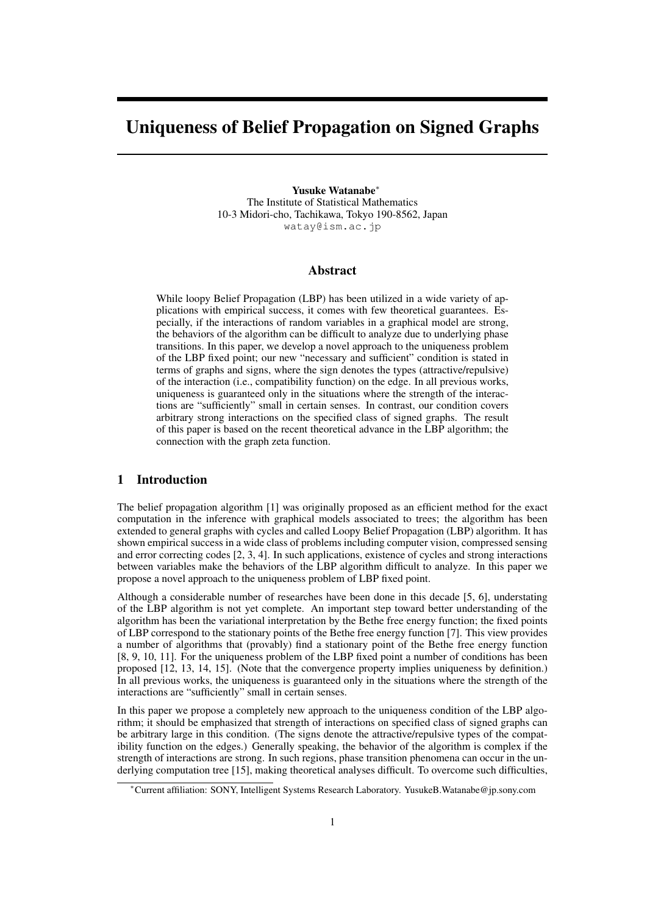# Uniqueness of Belief Propagation on Signed Graphs

Yusuke Watanabe*<sup>∗</sup>* The Institute of Statistical Mathematics 10-3 Midori-cho, Tachikawa, Tokyo 190-8562, Japan watay@ism.ac.jp

# Abstract

While loopy Belief Propagation (LBP) has been utilized in a wide variety of applications with empirical success, it comes with few theoretical guarantees. Especially, if the interactions of random variables in a graphical model are strong, the behaviors of the algorithm can be difficult to analyze due to underlying phase transitions. In this paper, we develop a novel approach to the uniqueness problem of the LBP fixed point; our new "necessary and sufficient" condition is stated in terms of graphs and signs, where the sign denotes the types (attractive/repulsive) of the interaction (i.e., compatibility function) on the edge. In all previous works, uniqueness is guaranteed only in the situations where the strength of the interactions are "sufficiently" small in certain senses. In contrast, our condition covers arbitrary strong interactions on the specified class of signed graphs. The result of this paper is based on the recent theoretical advance in the LBP algorithm; the connection with the graph zeta function.

# 1 Introduction

The belief propagation algorithm [1] was originally proposed as an efficient method for the exact computation in the inference with graphical models associated to trees; the algorithm has been extended to general graphs with cycles and called Loopy Belief Propagation (LBP) algorithm. It has shown empirical success in a wide class of problems including computer vision, compressed sensing and error correcting codes [2, 3, 4]. In such applications, existence of cycles and strong interactions between variables make the behaviors of the LBP algorithm difficult to analyze. In this paper we propose a novel approach to the uniqueness problem of LBP fixed point.

Although a considerable number of researches have been done in this decade [5, 6], understating of the LBP algorithm is not yet complete. An important step toward better understanding of the algorithm has been the variational interpretation by the Bethe free energy function; the fixed points of LBP correspond to the stationary points of the Bethe free energy function [7]. This view provides a number of algorithms that (provably) find a stationary point of the Bethe free energy function [8, 9, 10, 11]. For the uniqueness problem of the LBP fixed point a number of conditions has been proposed [12, 13, 14, 15]. (Note that the convergence property implies uniqueness by definition.) In all previous works, the uniqueness is guaranteed only in the situations where the strength of the interactions are "sufficiently" small in certain senses.

In this paper we propose a completely new approach to the uniqueness condition of the LBP algorithm; it should be emphasized that strength of interactions on specified class of signed graphs can be arbitrary large in this condition. (The signs denote the attractive/repulsive types of the compatibility function on the edges.) Generally speaking, the behavior of the algorithm is complex if the strength of interactions are strong. In such regions, phase transition phenomena can occur in the underlying computation tree [15], making theoretical analyses difficult. To overcome such difficulties,

*<sup>∗</sup>*Current affiliation: SONY, Intelligent Systems Research Laboratory. YusukeB.Watanabe@jp.sony.com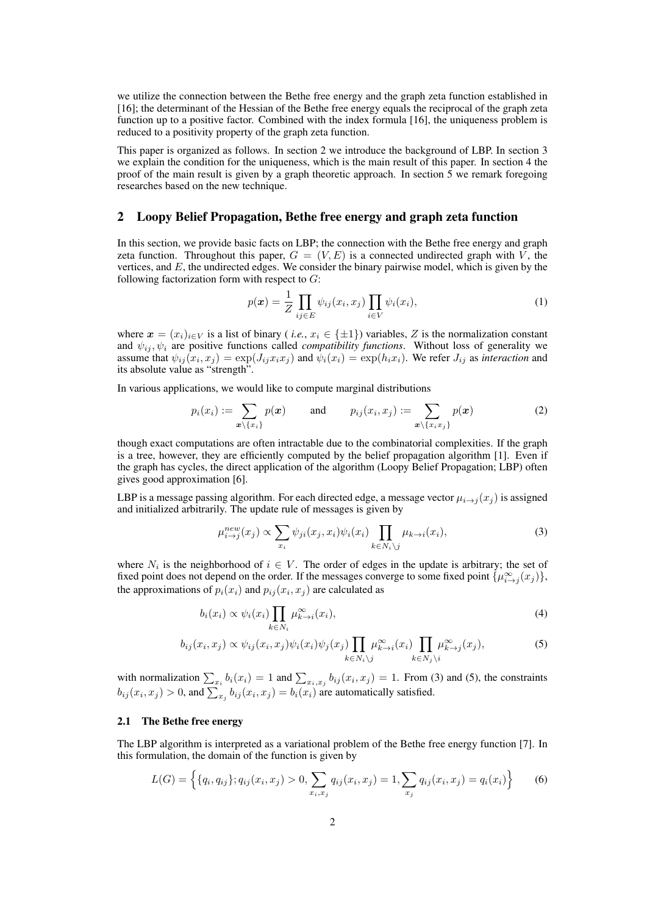we utilize the connection between the Bethe free energy and the graph zeta function established in [16]; the determinant of the Hessian of the Bethe free energy equals the reciprocal of the graph zeta function up to a positive factor. Combined with the index formula [16], the uniqueness problem is reduced to a positivity property of the graph zeta function.

This paper is organized as follows. In section 2 we introduce the background of LBP. In section 3 we explain the condition for the uniqueness, which is the main result of this paper. In section 4 the proof of the main result is given by a graph theoretic approach. In section 5 we remark foregoing researches based on the new technique.

## 2 Loopy Belief Propagation, Bethe free energy and graph zeta function

In this section, we provide basic facts on LBP; the connection with the Bethe free energy and graph zeta function. Throughout this paper,  $G = (V, E)$  is a connected undirected graph with  $\overline{V}$ , the vertices, and *E*, the undirected edges. We consider the binary pairwise model, which is given by the following factorization form with respect to *G*:

$$
p(\boldsymbol{x}) = \frac{1}{Z} \prod_{ij \in E} \psi_{ij}(x_i, x_j) \prod_{i \in V} \psi_i(x_i), \tag{1}
$$

where  $x = (x_i)_{i \in V}$  is a list of binary (*i.e.*,  $x_i \in \{\pm 1\}$ ) variables, *Z* is the normalization constant and  $\psi_{ij}, \psi_i$  are positive functions called *compatibility functions*. Without loss of generality we assume that  $\psi_{ij}(x_i, x_j) = \exp(J_{ij} x_i x_j)$  and  $\psi_i(x_i) = \exp(h_i x_i)$ . We refer  $J_{ij}$  as interaction and its absolute value as "strength".

In various applications, we would like to compute marginal distributions

$$
p_i(x_i) := \sum_{\mathbf{x} \setminus \{x_i\}} p(\mathbf{x}) \quad \text{and} \quad p_{ij}(x_i, x_j) := \sum_{\mathbf{x} \setminus \{x_i x_j\}} p(\mathbf{x}) \quad (2)
$$

though exact computations are often intractable due to the combinatorial complexities. If the graph is a tree, however, they are efficiently computed by the belief propagation algorithm [1]. Even if the graph has cycles, the direct application of the algorithm (Loopy Belief Propagation; LBP) often gives good approximation [6].

LBP is a message passing algorithm. For each directed edge, a message vector  $\mu_{i\to j}(x_j)$  is assigned and initialized arbitrarily. The update rule of messages is given by

$$
\mu_{i \to j}^{new}(x_j) \propto \sum_{x_i} \psi_{ji}(x_j, x_i) \psi_i(x_i) \prod_{k \in N_i \setminus j} \mu_{k \to i}(x_i), \tag{3}
$$

where  $N_i$  is the neighborhood of  $i \in V$ . The order of edges in the update is arbitrary; the set of fixed point does not depend on the order. If the messages converge to some fixed point  $\{\mu_{i\to j}^{\infty}(x_j)\},$ the approximations of  $p_i(x_i)$  and  $p_{ij}(x_i, x_j)$  are calculated as

$$
b_i(x_i) \propto \psi_i(x_i) \prod_{k \in N_i} \mu_{k \to i}^{\infty}(x_i), \tag{4}
$$

$$
b_{ij}(x_i, x_j) \propto \psi_{ij}(x_i, x_j) \psi_i(x_i) \psi_j(x_j) \prod_{k \in N_i \setminus j} \mu_{k \to i}^{\infty}(x_i) \prod_{k \in N_j \setminus i} \mu_{k \to j}^{\infty}(x_j), \tag{5}
$$

with normalization  $\sum_{x_i} b_i(x_i) = 1$  and  $\sum_{x_i, x_j} b_{ij}(x_i, x_j) = 1$ . From (3) and (5), the constraints  $b_{ij}(x_i, x_j) > 0$ , and  $\sum_{x_j} b_{ij}(x_i, x_j) = b_i(x_i)$  are automatically satisfied.

## 2.1 The Bethe free energy

The LBP algorithm is interpreted as a variational problem of the Bethe free energy function [7]. In this formulation, the domain of the function is given by

$$
L(G) = \left\{ \{q_i, q_{ij}\}; q_{ij}(x_i, x_j) > 0, \sum_{x_i, x_j} q_{ij}(x_i, x_j) = 1, \sum_{x_j} q_{ij}(x_i, x_j) = q_i(x_i) \right\}
$$
(6)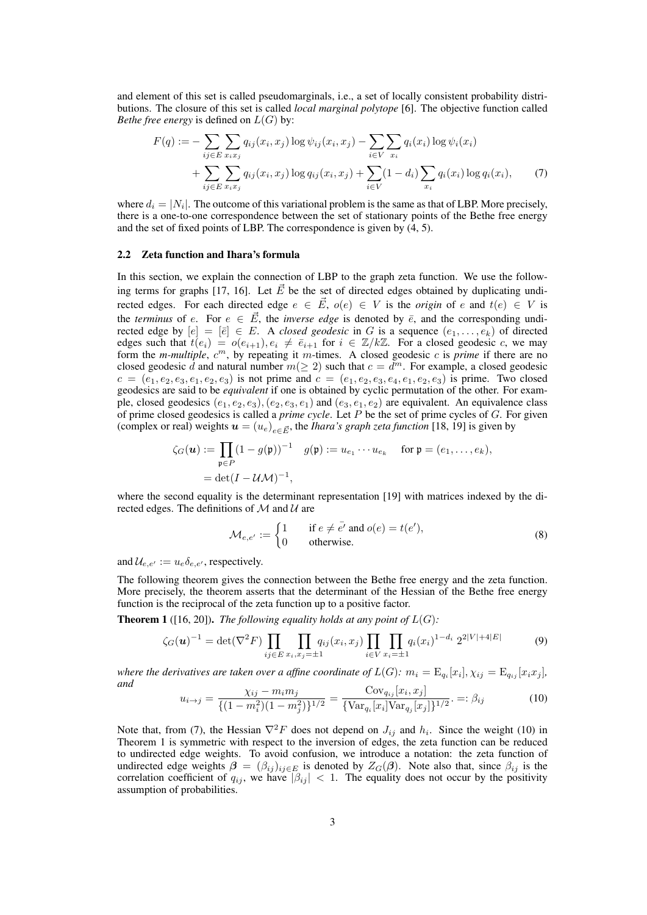and element of this set is called pseudomarginals, i.e., a set of locally consistent probability distributions. The closure of this set is called *local marginal polytope* [6]. The objective function called *Bethe free energy* is defined on  $L(G)$  by:

$$
F(q) := -\sum_{ij \in E} \sum_{x_i x_j} q_{ij}(x_i, x_j) \log \psi_{ij}(x_i, x_j) - \sum_{i \in V} \sum_{x_i} q_i(x_i) \log \psi_i(x_i) + \sum_{ij \in E} \sum_{x_i x_j} q_{ij}(x_i, x_j) \log q_{ij}(x_i, x_j) + \sum_{i \in V} (1 - d_i) \sum_{x_i} q_i(x_i) \log q_i(x_i),
$$
 (7)

where  $d_i = |N_i|$ . The outcome of this variational problem is the same as that of LBP. More precisely, there is a one-to-one correspondence between the set of stationary points of the Bethe free energy and the set of fixed points of LBP. The correspondence is given by (4, 5).

#### 2.2 Zeta function and Ihara's formula

In this section, we explain the connection of LBP to the graph zeta function. We use the following terms for graphs [17, 16]. Let  $\vec{E}$  be the set of directed edges obtained by duplicating undirected edges. For each directed edge  $e \in \vec{E}$ ,  $o(e) \in V$  is the *origin* of *e* and  $t(e) \in V$  is the *terminus* of *e*. For  $e \in \vec{E}$ , the *inverse edge* is denoted by  $\overline{e}$ , and the corresponding undirected edge by  $[e] = [\bar{e}] \in E$ . A *closed geodesic* in *G* is a sequence  $(e_1, \ldots, e_k)$  of directed edges such that  $t(e_i) = o(e_{i+1}), e_i \neq \overline{e}_{i+1}$  for  $i \in \mathbb{Z}/k\mathbb{Z}$ . For a closed geodesic *c*, we may form the *m-multiple*,  $c^m$ , by repeating it *m*-times. A closed geodesic *c* is *prime* if there are no closed geodesic  $\hat{d}$  and natural number  $m(\geq 2)$  such that  $c = \hat{d}^m$ . For example, a closed geodesic  $c = (e_1, e_2, e_3, e_1, e_2, e_3)$  is not prime and  $c = (e_1, e_2, e_3, e_4, e_1, e_2, e_3)$  is prime. Two closed geodesics are said to be *equivalent* if one is obtained by cyclic permutation of the other. For example, closed geodesics  $(e_1, e_2, e_3)$ ,  $(e_2, e_3, e_1)$  and  $(e_3, e_1, e_2)$  are equivalent. An equivalence class of prime closed geodesics is called a *prime cycle*. Let *P* be the set of prime cycles of *G*. For given (complex or real) weights  $u = (u_e)_{e \in \vec{E}}$ , the *Ihara's graph zeta function* [18, 19] is given by

$$
\begin{aligned} \zeta_G(\boldsymbol{u}) &:= \prod_{\mathfrak{p} \in P} (1 - g(\mathfrak{p}))^{-1} \quad g(\mathfrak{p}) := u_{e_1} \cdots u_{e_k} \quad \text{ for } \mathfrak{p} = (e_1, \ldots, e_k), \\ &= \det(I - \mathcal{U}\mathcal{M})^{-1}, \end{aligned}
$$

where the second equality is the determinant representation [19] with matrices indexed by the directed edges. The definitions of *M* and *U* are

$$
\mathcal{M}_{e,e'} := \begin{cases} 1 & \text{if } e \neq \overline{e'} \text{ and } o(e) = t(e'), \\ 0 & \text{otherwise.} \end{cases}
$$
 (8)

and  $\mathcal{U}_{e,e'} := u_e \delta_{e,e'}$ , respectively.

The following theorem gives the connection between the Bethe free energy and the zeta function. More precisely, the theorem asserts that the determinant of the Hessian of the Bethe free energy function is the reciprocal of the zeta function up to a positive factor.

**Theorem 1** ([16, 20]). *The following equality holds at any point of*  $L(G)$ *:* 

$$
\zeta_G(\mathbf{u})^{-1} = \det(\nabla^2 F) \prod_{ij \in E} \prod_{x_i, x_j = \pm 1} q_{ij}(x_i, x_j) \prod_{i \in V} \prod_{x_i = \pm 1} q_i(x_i)^{1 - d_i} 2^{2|V| + 4|E|}
$$
(9)

where the derivatives are taken over a affine coordinate of  $L(G)$ :  $m_i = \mathrm{E}_{q_i}[x_i], \chi_{ij} = \mathrm{E}_{q_{ij}}[x_ix_j],$ *and*

$$
u_{i \to j} = \frac{\chi_{ij} - m_i m_j}{\{(1 - m_i^2)(1 - m_j^2)\}^{1/2}} = \frac{\text{Cov}_{q_{ij}}[x_i, x_j]}{\{\text{Var}_{q_i}[x_i] \text{Var}_{q_j}[x_j]\}^{1/2}} =: \beta_{ij}
$$
(10)

Note that, from (7), the Hessian  $\nabla^2 F$  does not depend on  $J_{ij}$  and  $h_i$ . Since the weight (10) in Theorem 1 is symmetric with respect to the inversion of edges, the zeta function can be reduced to undirected edge weights. To avoid confusion, we introduce a notation: the zeta function of undirected edge weights  $\beta = (\beta_{ij})_{ij \in E}$  is denoted by  $Z_G(\beta)$ . Note also that, since  $\beta_{ij}$  is the correlation coefficient of  $q_{ij}$ , we have  $|\beta_{ij}| < 1$ . The equality does not occur by the positivity assumption of probabilities.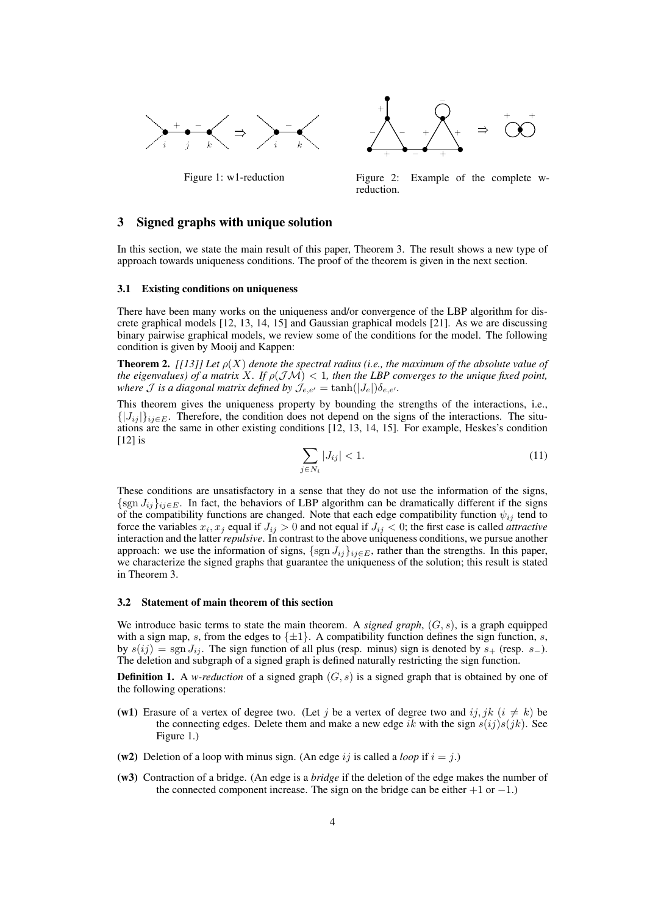



Figure 1: w1-reduction Figure 2: Example of the complete wreduction.

## 3 Signed graphs with unique solution

In this section, we state the main result of this paper, Theorem 3. The result shows a new type of approach towards uniqueness conditions. The proof of the theorem is given in the next section.

#### 3.1 Existing conditions on uniqueness

There have been many works on the uniqueness and/or convergence of the LBP algorithm for discrete graphical models [12, 13, 14, 15] and Gaussian graphical models [21]. As we are discussing binary pairwise graphical models, we review some of the conditions for the model. The following condition is given by Mooij and Kappen:

**Theorem 2.** *[[13]] Let*  $\rho(X)$  *denote the spectral radius (i.e., the maximum of the absolute value of the eigenvalues) of a matrix X. If*  $\rho(\mathcal{JM}) < 1$ , then the LBP converges to the unique fixed point, *where J is a diagonal matrix defined by*  $J_{e,e'} = \tanh(|J_e|)\delta_{e,e'}$ .

This theorem gives the uniqueness property by bounding the strengths of the interactions, i.e.,  $\{|J_{ij}|\}_{i,j\in E}$ . Therefore, the condition does not depend on the signs of the interactions. The situations are the same in other existing conditions [12, 13, 14, 15]. For example, Heskes's condition [12] is

$$
\sum_{j \in N_i} |J_{ij}| < 1. \tag{11}
$$

These conditions are unsatisfactory in a sense that they do not use the information of the signs, *{*sgn *Jij}ij∈<sup>E</sup>*. In fact, the behaviors of LBP algorithm can be dramatically different if the signs of the compatibility functions are changed. Note that each edge compatibility function  $\psi_{ij}$  tend to force the variables  $x_i, x_j$  equal if  $J_{ij} > 0$  and not equal if  $J_{ij} < 0$ ; the first case is called *attractive* interaction and the latter*repulsive*. In contrast to the above uniqueness conditions, we pursue another approach: we use the information of signs,  $\{sgn J_{ij}\}_{ij\in E}$ , rather than the strengths. In this paper, we characterize the signed graphs that guarantee the uniqueness of the solution; this result is stated in Theorem 3.

#### 3.2 Statement of main theorem of this section

We introduce basic terms to state the main theorem. A *signed graph*, (*G, s*), is a graph equipped with a sign map, *s*, from the edges to  $\{\pm 1\}$ . A compatibility function defines the sign function, *s*, by  $s(ij) = \text{sgn } J_{ij}$ . The sign function of all plus (resp. minus) sign is denoted by  $s_{+}$  (resp.  $s_{-}$ ). The deletion and subgraph of a signed graph is defined naturally restricting the sign function.

**Definition 1.** A *w-reduction* of a signed graph  $(G, s)$  is a signed graph that is obtained by one of the following operations:

- (w1) Erasure of a vertex of degree two. (Let *j* be a vertex of degree two and *ij, jk*  $(i \neq k)$  be the connecting edges. Delete them and make a new edge *ik* with the sign  $s(ij)s(jk)$ . See Figure 1.)
- (w2) Deletion of a loop with minus sign. (An edge *ij* is called a *loop* if  $i = j$ .)
- (w3) Contraction of a bridge. (An edge is a *bridge* if the deletion of the edge makes the number of the connected component increase. The sign on the bridge can be either +1 or *−*1.)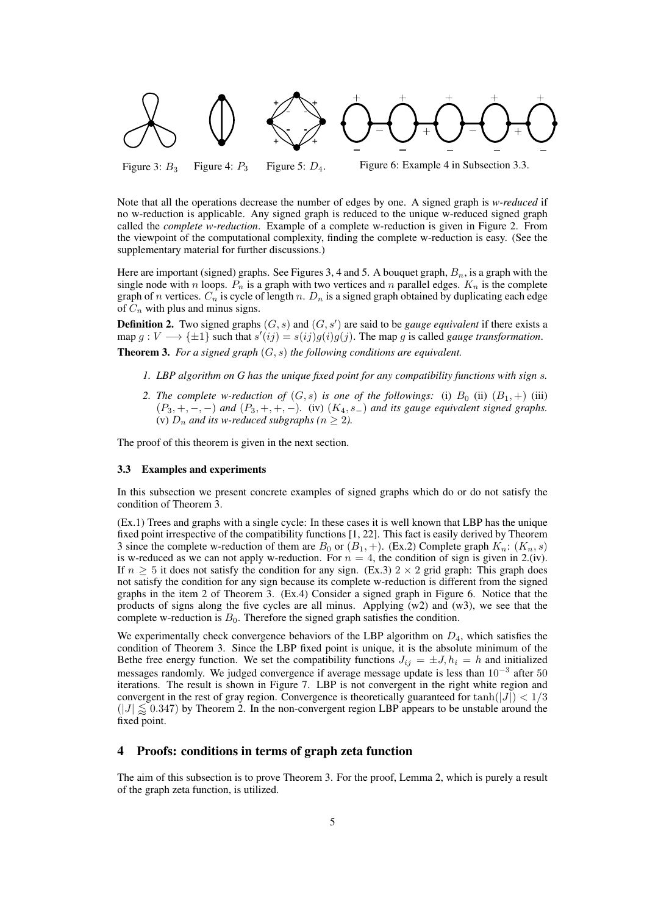

Figure 3:  $B_3$  Figure 4:  $P_3$  Figure 5:  $D_4$ . Figure 6: Example 4 in Subsection 3.3.

Note that all the operations decrease the number of edges by one. A signed graph is *w-reduced* if no w-reduction is applicable. Any signed graph is reduced to the unique w-reduced signed graph called the *complete w-reduction*. Example of a complete w-reduction is given in Figure 2. From the viewpoint of the computational complexity, finding the complete w-reduction is easy. (See the supplementary material for further discussions.)

Here are important (signed) graphs. See Figures 3, 4 and 5. A bouquet graph, *Bn*, is a graph with the single node with *n* loops.  $P_n$  is a graph with two vertices and *n* parallel edges.  $K_n$  is the complete graph of *n* vertices. *C<sup>n</sup>* is cycle of length *n*. *D<sup>n</sup>* is a signed graph obtained by duplicating each edge of *C<sup>n</sup>* with plus and minus signs.

**Definition 2.** Two signed graphs  $(G, s)$  and  $(G, s')$  are said to be *gauge equivalent* if there exists a  $\phi$   $g: V \longrightarrow {\pm 1}$  such that  $s'(ij) = s(ij)g(i)g(j)$ . The map g is called *gauge transformation*. Theorem 3. *For a signed graph* (*G, s*) *the following conditions are equivalent.*

- *1. LBP algorithm on G has the unique fixed point for any compatibility functions with sign s.*
- *2. The complete w-reduction of*  $(G, s)$  *is one of the followings:* (i)  $B_0$  (ii)  $(B_1, +)$  (iii) (*P*3*,* +*, −, −*) *and* (*P*3*,* +*,* +*, −*)*.* (iv) (*K*4*, s−*) *and its gauge equivalent signed graphs.* (v)  $D_n$  *and its w-reduced subgraphs (n*  $\geq$  *2).*

The proof of this theorem is given in the next section.

#### 3.3 Examples and experiments

In this subsection we present concrete examples of signed graphs which do or do not satisfy the condition of Theorem 3.

(Ex.1) Trees and graphs with a single cycle: In these cases it is well known that LBP has the unique fixed point irrespective of the compatibility functions [1, 22]. This fact is easily derived by Theorem 3 since the complete w-reduction of them are  $B_0$  or  $(B_1, +)$ . (Ex.2) Complete graph  $K_n$ :  $(K_n, s)$ is w-reduced as we can not apply w-reduction. For  $n = 4$ , the condition of sign is given in 2.(iv). If  $n \geq 5$  it does not satisfy the condition for any sign. (Ex.3) 2  $\times$  2 grid graph: This graph does not satisfy the condition for any sign because its complete w-reduction is different from the signed graphs in the item 2 of Theorem 3. (Ex.4) Consider a signed graph in Figure 6. Notice that the products of signs along the five cycles are all minus. Applying (w2) and (w3), we see that the complete w-reduction is  $B_0$ . Therefore the signed graph satisfies the condition.

We experimentally check convergence behaviors of the LBP algorithm on  $D_4$ , which satisfies the condition of Theorem 3. Since the LBP fixed point is unique, it is the absolute minimum of the Bethe free energy function. We set the compatibility functions  $J_{ij} = \pm J$ ,  $h_i = h$  and initialized messages randomly. We judged convergence if average message update is less than 10*<sup>−</sup>*<sup>3</sup> after 50 iterations. The result is shown in Figure 7. LBP is not convergent in the right white region and convergent in the rest of gray region. Convergence is theoretically guaranteed for  $tanh(|J|) < 1/3$  $(|J| \leq 0.347)$  by Theorem 2. In the non-convergent region LBP appears to be unstable around the fixed point.

## 4 Proofs: conditions in terms of graph zeta function

The aim of this subsection is to prove Theorem 3. For the proof, Lemma 2, which is purely a result of the graph zeta function, is utilized.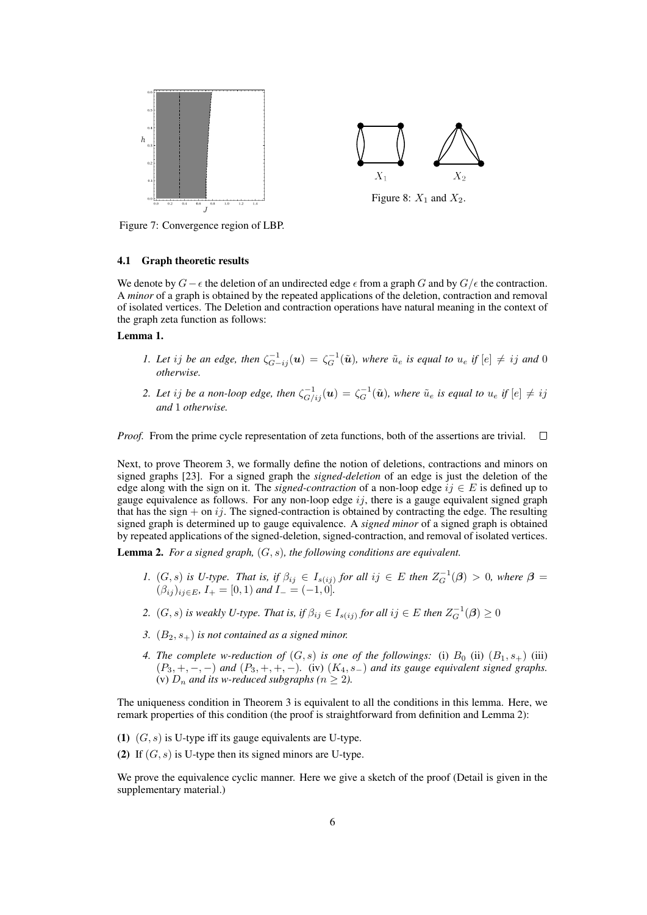

Figure 7: Convergence region of LBP.

#### 4.1 Graph theoretic results

We denote by *G* −  $\epsilon$  the deletion of an undirected edge  $\epsilon$  from a graph *G* and by  $G/\epsilon$  the contraction. A *minor* of a graph is obtained by the repeated applications of the deletion, contraction and removal of isolated vertices. The Deletion and contraction operations have natural meaning in the context of the graph zeta function as follows:

## Lemma 1.

- 1. Let ij be an edge, then  $\zeta_{G-ij}^{-1}(u) = \zeta_G^{-1}(\tilde{u})$ , where  $\tilde{u}_e$  is equal to  $u_e$  if  $[e] \neq ij$  and 0 *otherwise.*
- 2. Let ij be a non-loop edge, then  $\zeta_{G/ij}^{-1}(\bm{u})=\zeta_{G}^{-1}(\tilde{\bm{u}})$ , where  $\tilde{u}_e$  is equal to  $u_e$  if  $[e]\neq ij$ *and* 1 *otherwise.*

*Proof.* From the prime cycle representation of zeta functions, both of the assertions are trivial.  $\Box$ 

Next, to prove Theorem 3, we formally define the notion of deletions, contractions and minors on signed graphs [23]. For a signed graph the *signed-deletion* of an edge is just the deletion of the edge along with the sign on it. The *signed-contraction* of a non-loop edge  $ij \in E$  is defined up to gauge equivalence as follows. For any non-loop edge *ij*, there is a gauge equivalent signed graph that has the sign  $+$  on  $i j$ . The signed-contraction is obtained by contracting the edge. The resulting signed graph is determined up to gauge equivalence. A *signed minor* of a signed graph is obtained by repeated applications of the signed-deletion, signed-contraction, and removal of isolated vertices.

Lemma 2. *For a signed graph,* (*G, s*)*, the following conditions are equivalent.*

- 1.  $(G, s)$  is U-type. That is, if  $\beta_{ij} \in I_{s(ij)}$  for all  $ij \in E$  then  $Z_G^{-1}(\beta) > 0$ , where  $\beta =$  $(\beta_{ij})_{ij \in E}, I_+ = [0, 1)$  and  $I_- = (-1, 0].$
- *2.*  $(G, s)$  is weakly U-type. That is, if  $\beta_{ij} \in I_{s(ij)}$  for all  $ij \in E$  then  $Z_G^{-1}(\boldsymbol{\beta}) \geq 0$
- *3.* (*B*2*, s*+) *is not contained as a signed minor.*
- *4. The complete w-reduction of*  $(G, s)$  *is one of the followings:* (i)  $B_0$  (ii)  $(B_1, s_+)$  (iii) (*P*3*,* +*, −, −*) *and* (*P*3*,* +*,* +*, −*)*.* (iv) (*K*4*, s−*) *and its gauge equivalent signed graphs.* (v)  $D_n$  *and its w-reduced subgraphs (* $n \geq 2$ *).*

The uniqueness condition in Theorem 3 is equivalent to all the conditions in this lemma. Here, we remark properties of this condition (the proof is straightforward from definition and Lemma 2):

- (1) (*G, s*) is U-type iff its gauge equivalents are U-type.
- (2) If (*G, s*) is U-type then its signed minors are U-type.

We prove the equivalence cyclic manner. Here we give a sketch of the proof (Detail is given in the supplementary material.)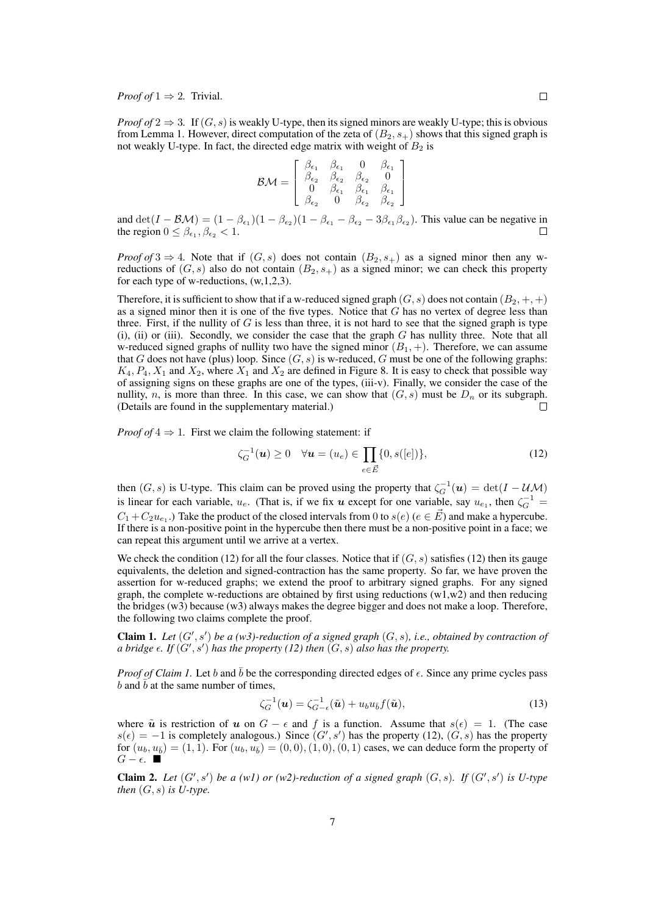*Proof of*  $1 \Rightarrow 2$ *.* Trivial.

*Proof of*  $2 \Rightarrow 3$ . If  $(G, s)$  is weakly U-type, then its signed minors are weakly U-type; this is obvious from Lemma 1. However, direct computation of the zeta of  $(B_2, s_+)$  shows that this signed graph is not weakly U-type. In fact, the directed edge matrix with weight of  $B_2$  is

$$
\mathcal{BM} = \left[\begin{array}{cccc} \beta_{\epsilon_1} & \beta_{\epsilon_1} & 0 & \beta_{\epsilon_1} \\ \beta_{\epsilon_2} & \beta_{\epsilon_2} & \beta_{\epsilon_2} & 0 \\ 0 & \beta_{\epsilon_1} & \beta_{\epsilon_1} & \beta_{\epsilon_1} \\ \beta_{\epsilon_2} & 0 & \beta_{\epsilon_2} & \beta_{\epsilon_2} \end{array}\right]
$$

and  $\det(I - \mathcal{B}\mathcal{M}) = (1 - \beta_{\epsilon_1})(1 - \beta_{\epsilon_2})(1 - \beta_{\epsilon_1} - \beta_{\epsilon_2} - 3\beta_{\epsilon_1}\beta_{\epsilon_2})$ . This value can be negative in the region  $0 \leq \beta_{\epsilon_1}, \beta_{\epsilon_2} < 1$ .

*Proof of* 3  $\Rightarrow$  4*.* Note that if  $(G, s)$  does not contain  $(B_2, s_+)$  as a signed minor then any wreductions of  $(G, s)$  also do not contain  $(B_2, s_+)$  as a signed minor; we can check this property for each type of w-reductions, (w,1,2,3).

Therefore, it is sufficient to show that if a w-reduced signed graph  $(G, s)$  does not contain  $(B_2, +, +)$ as a signed minor then it is one of the five types. Notice that *G* has no vertex of degree less than three. First, if the nullity of  $G$  is less than three, it is not hard to see that the signed graph is type (i), (ii) or (iii). Secondly, we consider the case that the graph *G* has nullity three. Note that all w-reduced signed graphs of nullity two have the signed minor  $(B_1, +)$ . Therefore, we can assume that *G* does not have (plus) loop. Since  $(G, s)$  is w-reduced, *G* must be one of the following graphs:  $K_4$ ,  $P_4$ ,  $X_1$  and  $X_2$ , where  $X_1$  and  $X_2$  are defined in Figure 8. It is easy to check that possible way of assigning signs on these graphs are one of the types, (iii-v). Finally, we consider the case of the nullity, *n*, is more than three. In this case, we can show that  $(G, s)$  must be  $D_n$  or its subgraph. (Details are found in the supplementary material.)  $\Box$ 

*Proof of*  $4 \Rightarrow 1$ . First we claim the following statement: if

$$
\zeta_G^{-1}(\boldsymbol{u}) \ge 0 \quad \forall \boldsymbol{u} = (u_e) \in \prod_{e \in \vec{E}} \{0, s([e])\},\tag{12}
$$

then  $(G, s)$  is U-type. This claim can be proved using the property that  $\zeta_G^{-1}(u) = \det(I - \mathcal{U} \mathcal{M})$ is linear for each variable,  $u_e$ . (That is, if we fix *u* except for one variable, say  $u_{e_1}$ , then  $\zeta_G^{-1}$  $C_1 + C_2 u_{e_1}$ .) Take the product of the closed intervals from 0 to  $s(e)$  ( $e \in \vec{E}$ ) and make a hypercube. If there is a non-positive point in the hypercube then there must be a non-positive point in a face; we can repeat this argument until we arrive at a vertex.

We check the condition (12) for all the four classes. Notice that if  $(G, s)$  satisfies (12) then its gauge equivalents, the deletion and signed-contraction has the same property. So far, we have proven the assertion for w-reduced graphs; we extend the proof to arbitrary signed graphs. For any signed graph, the complete w-reductions are obtained by first using reductions  $(w1,w2)$  and then reducing the bridges (w3) because (w3) always makes the degree bigger and does not make a loop. Therefore, the following two claims complete the proof.

**Claim 1.** Let  $(G', s')$  be a (w3)-reduction of a signed graph  $(G, s)$ , i.e., obtained by contraction of *a bridge*  $\epsilon$ *. If*  $(G', s')$  *has the property* (12) *then*  $(G, s)$  *also has the property.* 

*Proof of Claim 1.* Let *b* and  $\bar{b}$  be the corresponding directed edges of  $\epsilon$ . Since any prime cycles pass *b* and  $\bar{b}$  at the same number of times,

$$
\zeta_G^{-1}(\boldsymbol{u}) = \zeta_{G-\epsilon}^{-1}(\tilde{\boldsymbol{u}}) + u_b u_{\bar{b}} f(\tilde{\boldsymbol{u}}),
$$
\n(13)

where  $\tilde{u}$  is restriction of *u* on  $G - \epsilon$  and *f* is a function. Assume that  $s(\epsilon) = 1$ . (The case  $s(\epsilon) = -1$  is completely analogous.) Since  $(G', s')$  has the property (12),  $(G, s)$  has the property for  $(u_b, u_{\bar{b}}) = (1, 1)$ . For  $(u_b, u_{\bar{b}}) = (0, 0), (1, 0), (0, 1)$  cases, we can deduce form the property of *G* −  $\epsilon$ .  $\blacksquare$ 

**Claim 2.** Let  $(G', s')$  be a (w1) or (w2)-reduction of a signed graph  $(G, s)$ . If  $(G', s')$  is U-type *then*  $(G, s)$  *is U-type.*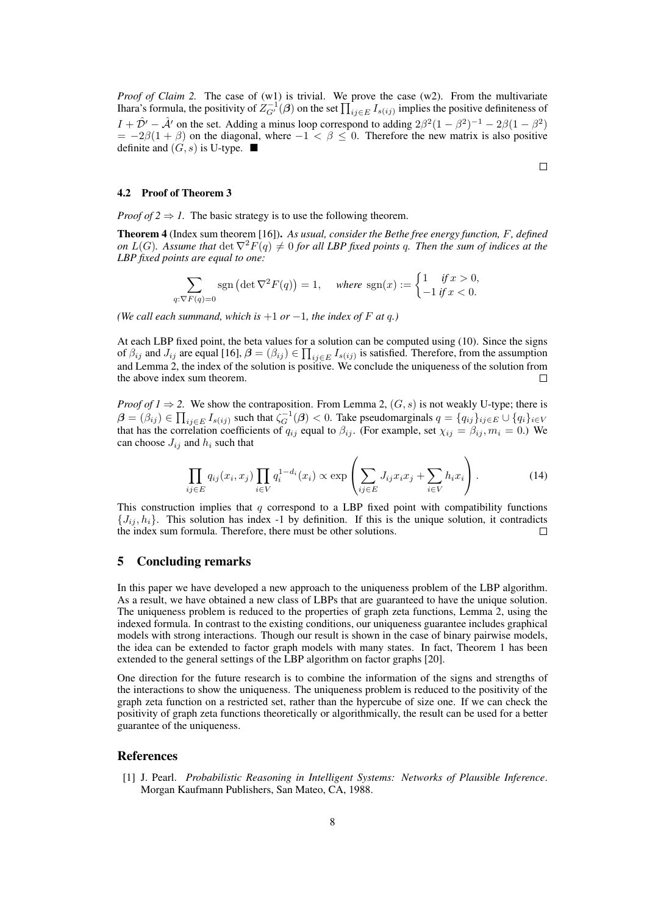*Proof of Claim 2.* The case of (w1) is trivial. We prove the case (w2). From the multivariate Ihara's formula, the positivity of  $Z^{-1}_{G'}(\beta)$  on the set  $\prod_{ij\in E}I_{s(ij)}$  implies the positive definiteness of  $I + \hat{\mathcal{D}}' - \hat{\mathcal{A}}'$  on the set. Adding a minus loop correspond to adding  $2\beta^2(1-\beta^2)^{-1} - 2\beta(1-\beta^2)$  $= -2\beta(1 + \beta)$  on the diagonal, where  $-1 < \beta \leq 0$ . Therefore the new matrix is also positive definite and  $(G, s)$  is U-type.  $\blacksquare$ 

## 4.2 Proof of Theorem 3

*Proof of 2*  $\Rightarrow$  *1*. The basic strategy is to use the following theorem.

Theorem 4 (Index sum theorem [16]). *As usual, consider the Bethe free energy function, F, defined on*  $L(G)$ . Assume that  $\det \nabla^2 F(q) \neq 0$  *for all LBP fixed points q. Then the sum of indices at the LBP fixed points are equal to one:*

$$
\sum_{q:\nabla F(q)=0} \operatorname{sgn}\left(\det \nabla^2 F(q)\right) = 1, \quad \text{where } \operatorname{sgn}(x) := \begin{cases} 1 & \text{if } x > 0, \\ -1 & \text{if } x < 0. \end{cases}
$$

*(We call each summand, which is*  $+1$  *or*  $-1$ *, the index of F at q.*)

At each LBP fixed point, the beta values for a solution can be computed using (10). Since the signs of  $\beta_{ij}$  and  $J_{ij}$  are equal [16],  $\beta = (\beta_{ij}) \in \prod_{ij \in E} I_{s(ij)}$  is satisfied. Therefore, from the assumption and Lemma 2, the index of the solution is positive. We conclude the uniqueness of the solution from the above index sum theorem.

*Proof of 1*  $\Rightarrow$  2. We show the contraposition. From Lemma 2,  $(G, s)$  is not weakly U-type; there is  $\boldsymbol{\beta}=(\beta_{ij})\in\prod_{ij\in E}I_{s(ij)}$  such that  $\zeta_G^{-1}(\boldsymbol{\beta})<0$ . Take pseudomarginals  $q=\{q_{ij}\}_{i,j\in E}\cup\{q_i\}_{i\in V}$ that has the correlation coefficients of  $q_{ij}$  equal to  $\beta_{ij}$ . (For example, set  $\chi_{ij} = \beta_{ij}, m_i = 0$ .) We can choose  $J_{ij}$  and  $h_i$  such that

$$
\prod_{ij \in E} q_{ij}(x_i, x_j) \prod_{i \in V} q_i^{1-d_i}(x_i) \propto \exp\left(\sum_{ij \in E} J_{ij} x_i x_j + \sum_{i \in V} h_i x_i\right).
$$
 (14)

This construction implies that *q* correspond to a LBP fixed point with compatibility functions  $\{J_{ij}, h_i\}$ . This solution has index -1 by definition. If this is the unique solution, it contradicts the index sum formula. Therefore, there must be other solutions.  $\Box$ 

## 5 Concluding remarks

In this paper we have developed a new approach to the uniqueness problem of the LBP algorithm. As a result, we have obtained a new class of LBPs that are guaranteed to have the unique solution. The uniqueness problem is reduced to the properties of graph zeta functions, Lemma 2, using the indexed formula. In contrast to the existing conditions, our uniqueness guarantee includes graphical models with strong interactions. Though our result is shown in the case of binary pairwise models, the idea can be extended to factor graph models with many states. In fact, Theorem 1 has been extended to the general settings of the LBP algorithm on factor graphs [20].

One direction for the future research is to combine the information of the signs and strengths of the interactions to show the uniqueness. The uniqueness problem is reduced to the positivity of the graph zeta function on a restricted set, rather than the hypercube of size one. If we can check the positivity of graph zeta functions theoretically or algorithmically, the result can be used for a better guarantee of the uniqueness.

## References

[1] J. Pearl. *Probabilistic Reasoning in Intelligent Systems: Networks of Plausible Inference*. Morgan Kaufmann Publishers, San Mateo, CA, 1988.

$$
\qquad \qquad \Box
$$